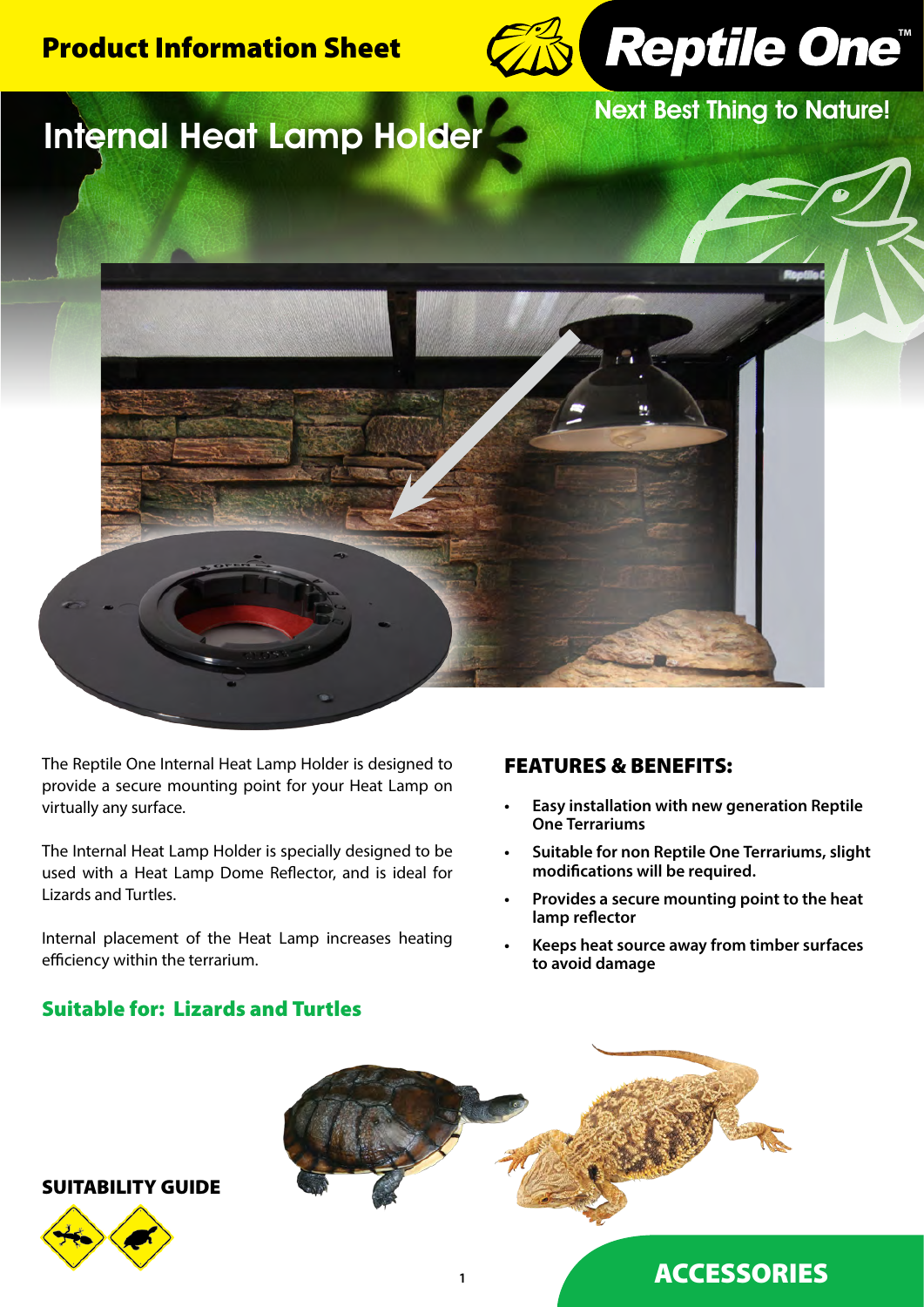



Next Best Thing to Nature!

# Internal Heat Lamp Holder



The Reptile One Internal Heat Lamp Holder is designed to provide a secure mounting point for your Heat Lamp on virtually any surface.

The Internal Heat Lamp Holder is specially designed to be used with a Heat Lamp Dome Reflector, and is ideal for Lizards and Turtles.

Internal placement of the Heat Lamp increases heating efficiency within the terrarium.

# FEATURES & BENEFITS:

- **• Easy installation with new generation Reptile One Terrariums**
- **• Suitable for non Reptile One Terrariums, slight modifications will be required.**
- **• Provides a secure mounting point to the heat lamp reflector**
- **• Keeps heat source away from timber surfaces to avoid damage**

# Suitable for: Lizards and Turtles



SUITABILITY GUIDE